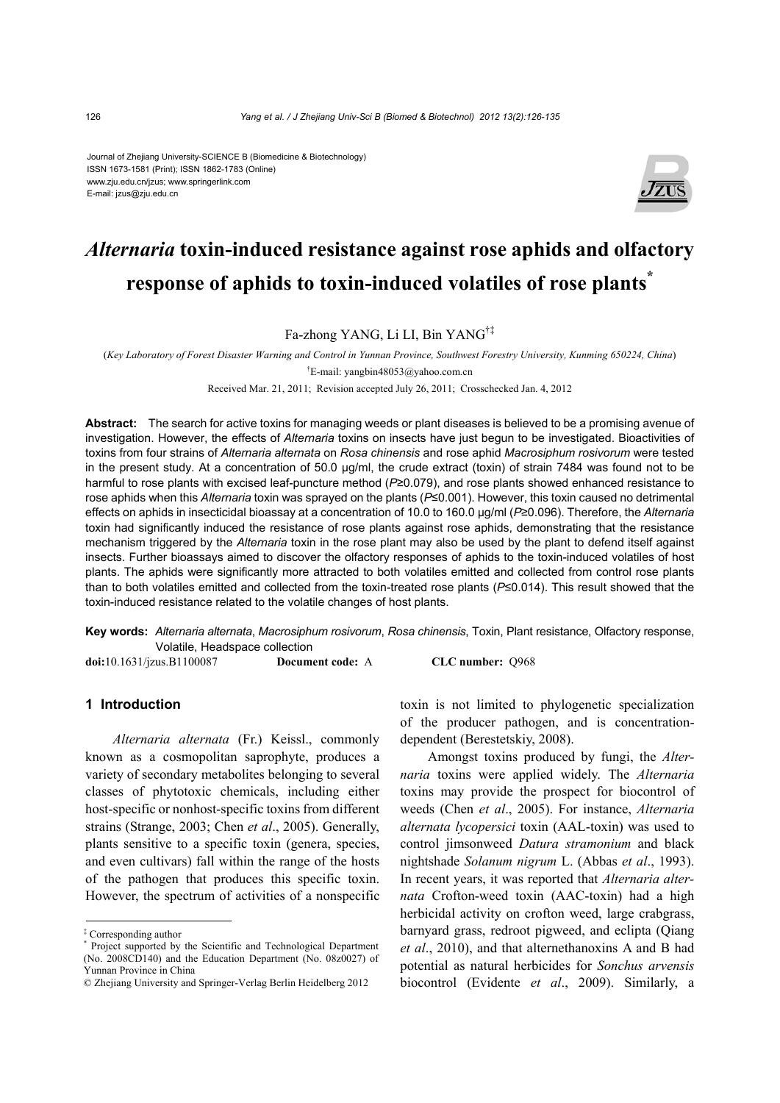#### Journal of Zhejiang University-SCIENCE B (Biomedicine & Biotechnology) ISSN 1673-1581 (Print); ISSN 1862-1783 (Online) www.zju.edu.cn/jzus; www.springerlink.com E-mail: jzus@zju.edu.cn



# *Alternaria* **toxin-induced resistance against rose aphids and olfactory response of aphids to toxin-induced volatiles of rose plants\***

Fa-zhong YANG, Li LI, Bin YANG†‡

(*Key Laboratory of Forest Disaster Warning and Control in Yunnan Province, Southwest Forestry University, Kunming 650224, China*) † E-mail: yangbin48053@yahoo.com.cn

Received Mar. 21, 2011; Revision accepted July 26, 2011; Crosschecked Jan. 4, 2012

**Abstract:** The search for active toxins for managing weeds or plant diseases is believed to be a promising avenue of investigation. However, the effects of *Alternaria* toxins on insects have just begun to be investigated. Bioactivities of toxins from four strains of *Alternaria alternata* on *Rosa chinensis* and rose aphid *Macrosiphum rosivorum* were tested in the present study. At a concentration of 50.0 μg/ml, the crude extract (toxin) of strain 7484 was found not to be harmful to rose plants with excised leaf-puncture method (*P*≥0.079), and rose plants showed enhanced resistance to rose aphids when this *Alternaria* toxin was sprayed on the plants (*P*≤0.001). However, this toxin caused no detrimental effects on aphids in insecticidal bioassay at a concentration of 10.0 to 160.0 μg/ml (*P*≥0.096). Therefore, the *Alternaria* toxin had significantly induced the resistance of rose plants against rose aphids, demonstrating that the resistance mechanism triggered by the *Alternaria* toxin in the rose plant may also be used by the plant to defend itself against insects. Further bioassays aimed to discover the olfactory responses of aphids to the toxin-induced volatiles of host plants. The aphids were significantly more attracted to both volatiles emitted and collected from control rose plants than to both volatiles emitted and collected from the toxin-treated rose plants (*P*≤0.014). This result showed that the toxin-induced resistance related to the volatile changes of host plants.

**Key words:** *Alternaria alternata*, *Macrosiphum rosivorum*, *Rosa chinensis*, Toxin, Plant resistance, Olfactory response, Volatile, Headspace collection

**doi:**10.1631/jzus.B1100087 **Document code:** A **CLC number:** Q968

# **1 Introduction**

*Alternaria alternata* (Fr.) Keissl., commonly known as a cosmopolitan saprophyte, produces a variety of secondary metabolites belonging to several classes of phytotoxic chemicals, including either host-specific or nonhost-specific toxins from different strains (Strange, 2003; Chen *et al*., 2005). Generally, plants sensitive to a specific toxin (genera, species, and even cultivars) fall within the range of the hosts of the pathogen that produces this specific toxin. However, the spectrum of activities of a nonspecific toxin is not limited to phylogenetic specialization of the producer pathogen, and is concentrationdependent (Berestetskiy, 2008).

Amongst toxins produced by fungi, the *Alternaria* toxins were applied widely. The *Alternaria*  toxins may provide the prospect for biocontrol of weeds (Chen *et al*., 2005). For instance, *Alternaria alternata lycopersici* toxin (AAL-toxin) was used to control jimsonweed *Datura stramonium* and black nightshade *Solanum nigrum* L. (Abbas *et al*., 1993). In recent years, it was reported that *Alternaria alternata* Crofton-weed toxin (AAC-toxin) had a high herbicidal activity on crofton weed, large crabgrass, barnyard grass, redroot pigweed, and eclipta (Qiang *et al*., 2010), and that alternethanoxins A and B had potential as natural herbicides for *Sonchus arvensis* biocontrol (Evidente *et al*., 2009). Similarly, a

<sup>‡</sup> Corresponding author

<sup>\*</sup> Project supported by the Scientific and Technological Department (No. 2008CD140) and the Education Department (No. 08z0027) of Yunnan Province in China

<sup>©</sup> Zhejiang University and Springer-Verlag Berlin Heidelberg 2012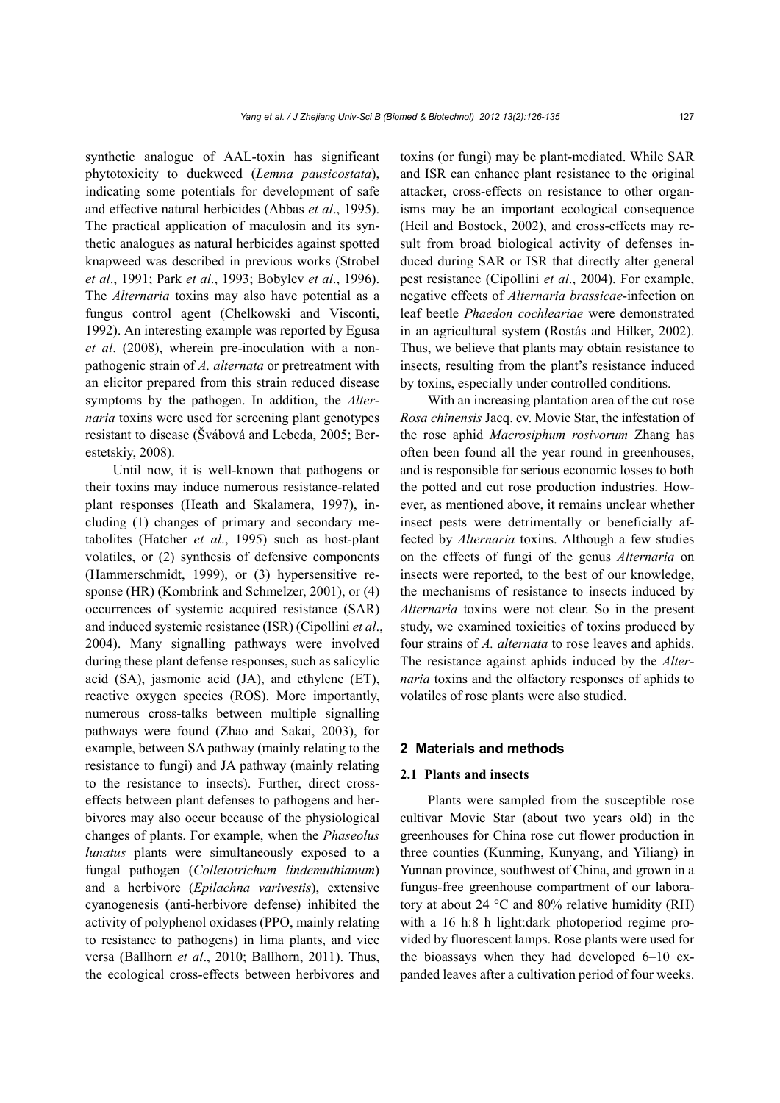synthetic analogue of AAL-toxin has significant phytotoxicity to duckweed (*Lemna pausicostata*), indicating some potentials for development of safe and effective natural herbicides (Abbas *et al*., 1995). The practical application of maculosin and its synthetic analogues as natural herbicides against spotted knapweed was described in previous works (Strobel *et al*., 1991; Park *et al*., 1993; Bobylev *et al*., 1996). The *Alternaria* toxins may also have potential as a fungus control agent (Chelkowski and Visconti, 1992). An interesting example was reported by Egusa *et al*. (2008), wherein pre-inoculation with a nonpathogenic strain of *A. alternata* or pretreatment with an elicitor prepared from this strain reduced disease symptoms by the pathogen. In addition, the *Alternaria* toxins were used for screening plant genotypes resistant to disease (Švábová and Lebeda, 2005; Berestetskiy, 2008).

Until now, it is well-known that pathogens or their toxins may induce numerous resistance-related plant responses (Heath and Skalamera, 1997), including (1) changes of primary and secondary metabolites (Hatcher *et al*., 1995) such as host-plant volatiles, or (2) synthesis of defensive components (Hammerschmidt, 1999), or (3) hypersensitive response (HR) (Kombrink and Schmelzer, 2001), or (4) occurrences of systemic acquired resistance (SAR) and induced systemic resistance (ISR) (Cipollini *et al*., 2004). Many signalling pathways were involved during these plant defense responses, such as salicylic acid (SA), jasmonic acid (JA), and ethylene (ET), reactive oxygen species (ROS). More importantly, numerous cross-talks between multiple signalling pathways were found (Zhao and Sakai, 2003), for example, between SA pathway (mainly relating to the resistance to fungi) and JA pathway (mainly relating to the resistance to insects). Further, direct crosseffects between plant defenses to pathogens and herbivores may also occur because of the physiological changes of plants. For example, when the *Phaseolus lunatus* plants were simultaneously exposed to a fungal pathogen (*Colletotrichum lindemuthianum*) and a herbivore (*Epilachna varivestis*), extensive cyanogenesis (anti-herbivore defense) inhibited the activity of polyphenol oxidases (PPO, mainly relating to resistance to pathogens) in lima plants, and vice versa (Ballhorn *et al*., 2010; Ballhorn, 2011). Thus, the ecological cross-effects between herbivores and toxins (or fungi) may be plant-mediated. While SAR and ISR can enhance plant resistance to the original attacker, cross-effects on resistance to other organisms may be an important ecological consequence (Heil and Bostock, 2002), and cross-effects may result from broad biological activity of defenses induced during SAR or ISR that directly alter general pest resistance (Cipollini *et al*., 2004). For example, negative effects of *Alternaria brassicae*-infection on leaf beetle *Phaedon cochleariae* were demonstrated in an agricultural system (Rostás and Hilker, 2002). Thus, we believe that plants may obtain resistance to insects, resulting from the plant's resistance induced by toxins, especially under controlled conditions.

With an increasing plantation area of the cut rose *Rosa chinensis* Jacq. cv. Movie Star, the infestation of the rose aphid *Macrosiphum rosivorum* Zhang has often been found all the year round in greenhouses, and is responsible for serious economic losses to both the potted and cut rose production industries. However, as mentioned above, it remains unclear whether insect pests were detrimentally or beneficially affected by *Alternaria* toxins. Although a few studies on the effects of fungi of the genus *Alternaria* on insects were reported, to the best of our knowledge, the mechanisms of resistance to insects induced by *Alternaria* toxins were not clear. So in the present study, we examined toxicities of toxins produced by four strains of *A. alternata* to rose leaves and aphids. The resistance against aphids induced by the *Alternaria* toxins and the olfactory responses of aphids to volatiles of rose plants were also studied.

#### **2 Materials and methods**

#### **2.1 Plants and insects**

Plants were sampled from the susceptible rose cultivar Movie Star (about two years old) in the greenhouses for China rose cut flower production in three counties (Kunming, Kunyang, and Yiliang) in Yunnan province, southwest of China, and grown in a fungus-free greenhouse compartment of our laboratory at about 24 °C and 80% relative humidity (RH) with a 16 h:8 h light:dark photoperiod regime provided by fluorescent lamps. Rose plants were used for the bioassays when they had developed 6–10 expanded leaves after a cultivation period of four weeks.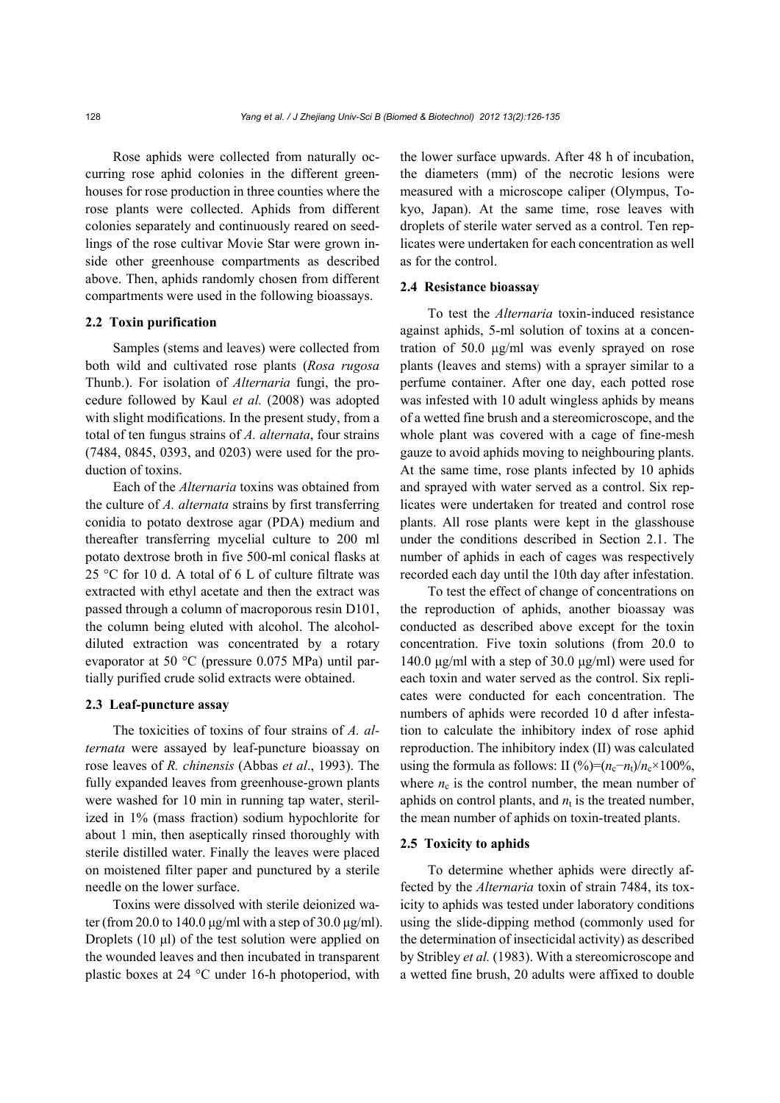Rose aphids were collected from naturally occurring rose aphid colonies in the different greenhouses for rose production in three counties where the rose plants were collected. Aphids from different colonies separately and continuously reared on seedlings of the rose cultivar Movie Star were grown inside other greenhouse compartments as described above. Then, aphids randomly chosen from different compartments were used in the following bioassays.

## **2.2 Toxin purification**

Samples (stems and leaves) were collected from both wild and cultivated rose plants (*Rosa rugosa* Thunb.). For isolation of *Alternaria* fungi, the procedure followed by Kaul *et al.* (2008) was adopted with slight modifications. In the present study, from a total of ten fungus strains of *A. alternata*, four strains (7484, 0845, 0393, and 0203) were used for the production of toxins.

Each of the *Alternaria* toxins was obtained from the culture of *A. alternata* strains by first transferring conidia to potato dextrose agar (PDA) medium and thereafter transferring mycelial culture to 200 ml potato dextrose broth in five 500-ml conical flasks at 25 °C for 10 d. A total of 6 L of culture filtrate was extracted with ethyl acetate and then the extract was passed through a column of macroporous resin D101, the column being eluted with alcohol. The alcoholdiluted extraction was concentrated by a rotary evaporator at 50 °C (pressure 0.075 MPa) until partially purified crude solid extracts were obtained.

#### **2.3 Leaf-puncture assay**

The toxicities of toxins of four strains of *A. alternata* were assayed by leaf-puncture bioassay on rose leaves of *R. chinensis* (Abbas *et al*., 1993). The fully expanded leaves from greenhouse-grown plants were washed for 10 min in running tap water, sterilized in 1% (mass fraction) sodium hypochlorite for about 1 min, then aseptically rinsed thoroughly with sterile distilled water. Finally the leaves were placed on moistened filter paper and punctured by a sterile needle on the lower surface.

Toxins were dissolved with sterile deionized water (from 20.0 to 140.0 μg/ml with a step of 30.0 μg/ml). Droplets (10 μl) of the test solution were applied on the wounded leaves and then incubated in transparent plastic boxes at 24 °C under 16-h photoperiod, with the lower surface upwards. After 48 h of incubation, the diameters (mm) of the necrotic lesions were measured with a microscope caliper (Olympus, Tokyo, Japan). At the same time, rose leaves with droplets of sterile water served as a control. Ten replicates were undertaken for each concentration as well as for the control.

#### **2.4 Resistance bioassay**

To test the *Alternaria* toxin-induced resistance against aphids, 5-ml solution of toxins at a concentration of 50.0 μg/ml was evenly sprayed on rose plants (leaves and stems) with a sprayer similar to a perfume container. After one day, each potted rose was infested with 10 adult wingless aphids by means of a wetted fine brush and a stereomicroscope, and the whole plant was covered with a cage of fine-mesh gauze to avoid aphids moving to neighbouring plants. At the same time, rose plants infected by 10 aphids and sprayed with water served as a control. Six replicates were undertaken for treated and control rose plants. All rose plants were kept in the glasshouse under the conditions described in Section 2.1. The number of aphids in each of cages was respectively recorded each day until the 10th day after infestation.

To test the effect of change of concentrations on the reproduction of aphids, another bioassay was conducted as described above except for the toxin concentration. Five toxin solutions (from 20.0 to 140.0 μg/ml with a step of 30.0 μg/ml) were used for each toxin and water served as the control. Six replicates were conducted for each concentration. The numbers of aphids were recorded 10 d after infestation to calculate the inhibitory index of rose aphid reproduction. The inhibitory index (II) was calculated using the formula as follows: II (%)= $(n_c-n_t)/n_c \times 100\%$ , where  $n_c$  is the control number, the mean number of aphids on control plants, and  $n_t$  is the treated number, the mean number of aphids on toxin-treated plants.

#### **2.5 Toxicity to aphids**

To determine whether aphids were directly affected by the *Alternaria* toxin of strain 7484, its toxicity to aphids was tested under laboratory conditions using the slide-dipping method (commonly used for the determination of insecticidal activity) as described by Stribley *et al.* (1983). With a stereomicroscope and a wetted fine brush, 20 adults were affixed to double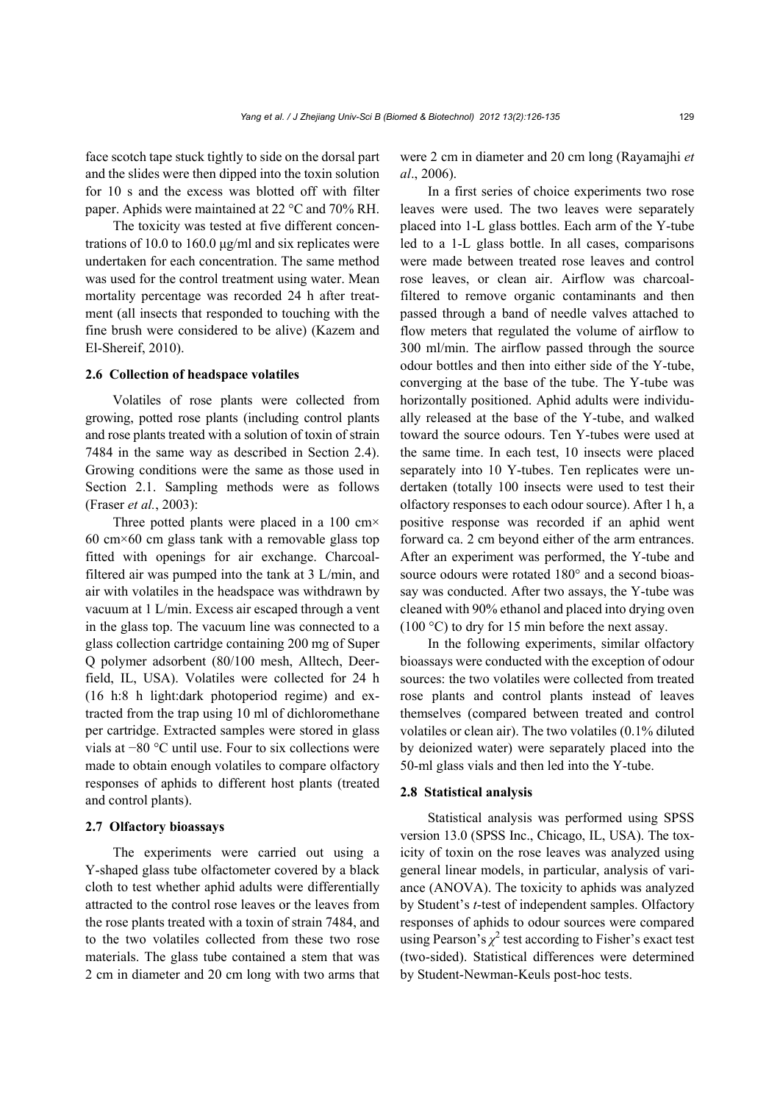face scotch tape stuck tightly to side on the dorsal part and the slides were then dipped into the toxin solution for 10 s and the excess was blotted off with filter paper. Aphids were maintained at 22 °C and 70% RH.

The toxicity was tested at five different concentrations of 10.0 to 160.0 μg/ml and six replicates were undertaken for each concentration. The same method was used for the control treatment using water. Mean mortality percentage was recorded 24 h after treatment (all insects that responded to touching with the fine brush were considered to be alive) (Kazem and El-Shereif, 2010).

#### **2.6 Collection of headspace volatiles**

Volatiles of rose plants were collected from growing, potted rose plants (including control plants and rose plants treated with a solution of toxin of strain 7484 in the same way as described in Section 2.4). Growing conditions were the same as those used in Section 2.1. Sampling methods were as follows (Fraser *et al.*, 2003):

Three potted plants were placed in a  $100 \text{ cm} \times$  $60 \text{ cm} \times 60 \text{ cm}$  glass tank with a removable glass top fitted with openings for air exchange. Charcoalfiltered air was pumped into the tank at 3 L/min, and air with volatiles in the headspace was withdrawn by vacuum at 1 L/min. Excess air escaped through a vent in the glass top. The vacuum line was connected to a glass collection cartridge containing 200 mg of Super Q polymer adsorbent (80/100 mesh, Alltech, Deerfield, IL, USA). Volatiles were collected for 24 h (16 h:8 h light:dark photoperiod regime) and extracted from the trap using 10 ml of dichloromethane per cartridge. Extracted samples were stored in glass vials at −80 °C until use. Four to six collections were made to obtain enough volatiles to compare olfactory responses of aphids to different host plants (treated and control plants).

#### **2.7 Olfactory bioassays**

The experiments were carried out using a Y-shaped glass tube olfactometer covered by a black cloth to test whether aphid adults were differentially attracted to the control rose leaves or the leaves from the rose plants treated with a toxin of strain 7484, and to the two volatiles collected from these two rose materials. The glass tube contained a stem that was 2 cm in diameter and 20 cm long with two arms that were 2 cm in diameter and 20 cm long (Rayamajhi *et al*., 2006).

In a first series of choice experiments two rose leaves were used. The two leaves were separately placed into 1-L glass bottles. Each arm of the Y-tube led to a 1-L glass bottle. In all cases, comparisons were made between treated rose leaves and control rose leaves, or clean air. Airflow was charcoalfiltered to remove organic contaminants and then passed through a band of needle valves attached to flow meters that regulated the volume of airflow to 300 ml/min. The airflow passed through the source odour bottles and then into either side of the Y-tube, converging at the base of the tube. The Y-tube was horizontally positioned. Aphid adults were individually released at the base of the Y-tube, and walked toward the source odours. Ten Y-tubes were used at the same time. In each test, 10 insects were placed separately into 10 Y-tubes. Ten replicates were undertaken (totally 100 insects were used to test their olfactory responses to each odour source). After 1 h, a positive response was recorded if an aphid went forward ca. 2 cm beyond either of the arm entrances. After an experiment was performed, the Y-tube and source odours were rotated 180° and a second bioassay was conducted. After two assays, the Y-tube was cleaned with 90% ethanol and placed into drying oven  $(100 \degree C)$  to dry for 15 min before the next assay.

In the following experiments, similar olfactory bioassays were conducted with the exception of odour sources: the two volatiles were collected from treated rose plants and control plants instead of leaves themselves (compared between treated and control volatiles or clean air). The two volatiles (0.1% diluted by deionized water) were separately placed into the 50-ml glass vials and then led into the Y-tube.

#### **2.8 Statistical analysis**

Statistical analysis was performed using SPSS version 13.0 (SPSS Inc., Chicago, IL, USA). The toxicity of toxin on the rose leaves was analyzed using general linear models, in particular, analysis of variance (ANOVA). The toxicity to aphids was analyzed by Student's *t*-test of independent samples. Olfactory responses of aphids to odour sources were compared using Pearson's  $\chi^2$  test according to Fisher's exact test (two-sided). Statistical differences were determined by Student-Newman-Keuls post-hoc tests.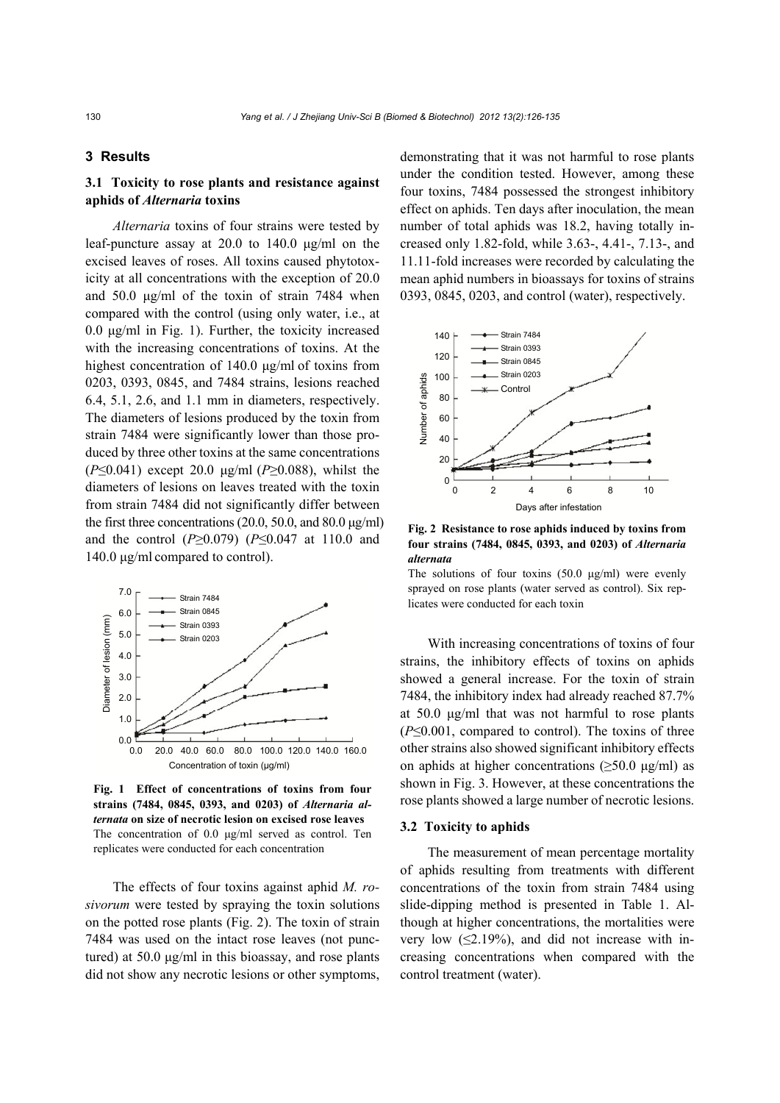## **3 Results**

# **3.1 Toxicity to rose plants and resistance against aphids of** *Alternaria* **toxins**

*Alternaria* toxins of four strains were tested by leaf-puncture assay at 20.0 to 140.0 μg/ml on the excised leaves of roses. All toxins caused phytotoxicity at all concentrations with the exception of 20.0 and 50.0 μg/ml of the toxin of strain 7484 when compared with the control (using only water, i.e., at 0.0 μg/ml in Fig. 1). Further, the toxicity increased with the increasing concentrations of toxins. At the highest concentration of 140.0 μg/ml of toxins from 0203, 0393, 0845, and 7484 strains, lesions reached 6.4, 5.1, 2.6, and 1.1 mm in diameters, respectively. The diameters of lesions produced by the toxin from strain 7484 were significantly lower than those produced by three other toxins at the same concentrations (*P*≤0.041) except 20.0 μg/ml (*P*≥0.088), whilst the diameters of lesions on leaves treated with the toxin from strain 7484 did not significantly differ between the first three concentrations (20.0, 50.0, and 80.0  $\mu$ g/ml) and the control (*P*≥0.079) (*P*≤0.047 at 110.0 and 140.0 μg/ml compared to control).



**Fig. 1 Effect of concentrations of toxins from four strains (7484, 0845, 0393, and 0203) of** *Alternaria alternata* **on size of necrotic lesion on excised rose leaves**  The concentration of 0.0 μg/ml served as control. Ten replicates were conducted for each concentration

The effects of four toxins against aphid *M. rosivorum* were tested by spraying the toxin solutions on the potted rose plants (Fig. 2). The toxin of strain 7484 was used on the intact rose leaves (not punctured) at 50.0 μg/ml in this bioassay, and rose plants did not show any necrotic lesions or other symptoms, demonstrating that it was not harmful to rose plants under the condition tested. However, among these four toxins, 7484 possessed the strongest inhibitory effect on aphids. Ten days after inoculation, the mean number of total aphids was 18.2, having totally increased only 1.82-fold, while 3.63-, 4.41-, 7.13-, and 11.11-fold increases were recorded by calculating the mean aphid numbers in bioassays for toxins of strains 0393, 0845, 0203, and control (water), respectively.



**Fig. 2 Resistance to rose aphids induced by toxins from four strains (7484, 0845, 0393, and 0203) of** *Alternaria alternata*

The solutions of four toxins  $(50.0 \text{ µg/ml})$  were evenly sprayed on rose plants (water served as control). Six replicates were conducted for each toxin

With increasing concentrations of toxins of four strains, the inhibitory effects of toxins on aphids showed a general increase. For the toxin of strain 7484, the inhibitory index had already reached 87.7% at 50.0 μg/ml that was not harmful to rose plants (*P*≤0.001, compared to control). The toxins of three other strains also showed significant inhibitory effects on aphids at higher concentrations  $(\geq 50.0 \text{ µg/ml})$  as shown in Fig. 3. However, at these concentrations the rose plants showed a large number of necrotic lesions.

### **3.2 Toxicity to aphids**

The measurement of mean percentage mortality of aphids resulting from treatments with different concentrations of the toxin from strain 7484 using slide-dipping method is presented in Table 1. Although at higher concentrations, the mortalities were very low  $(\leq 2.19\%)$ , and did not increase with increasing concentrations when compared with the control treatment (water).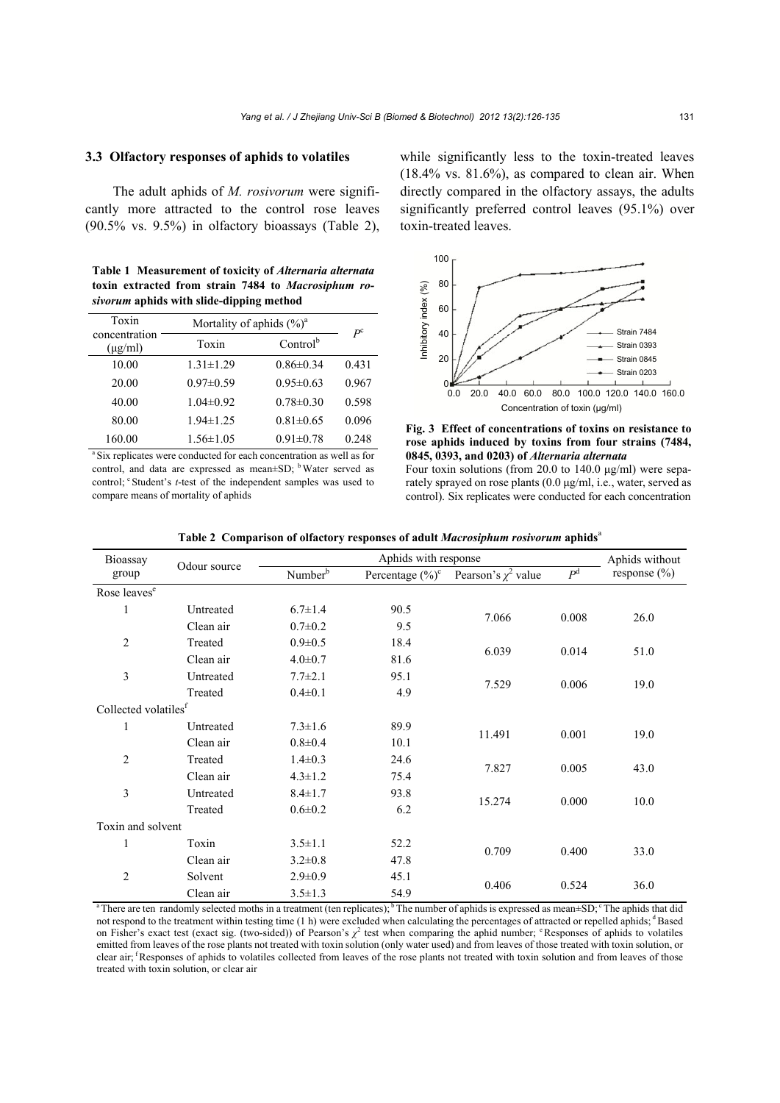## **3.3 Olfactory responses of aphids to volatiles**

The adult aphids of *M. rosivorum* were significantly more attracted to the control rose leaves (90.5% vs. 9.5%) in olfactory bioassays (Table 2),

**Table 1 Measurement of toxicity of** *Alternaria alternata* **toxin extracted from strain 7484 to** *Macrosiphum rosivorum* **aphids with slide-dipping method**

| Toxin<br>concentration<br>$(\mu g/ml)$ | Mortality of aphids $(\frac{9}{0})^a$ | $P^{\rm c}$     |       |
|----------------------------------------|---------------------------------------|-----------------|-------|
|                                        | Toxin                                 | $Control^b$     |       |
| 10.00                                  | $1.31 \pm 1.29$                       | $0.86 \pm 0.34$ | 0.431 |
| 20.00                                  | $0.97 \pm 0.59$                       | $0.95 \pm 0.63$ | 0.967 |
| 40.00                                  | $1.04 \pm 0.92$                       | $0.78 \pm 0.30$ | 0.598 |
| 80.00                                  | $1.94 \pm 1.25$                       | $0.81 \pm 0.65$ | 0.096 |
| 160.00                                 | $1.56 \pm 1.05$                       | $0.91 \pm 0.78$ | 0.248 |

a Six replicates were conducted for each concentration as well as for control, and data are expressed as mean±SD; <sup>b</sup> Water served as control: <sup>c</sup> Student's *t*-test of the independent samples was used to compare means of mortality of aphids

while significantly less to the toxin-treated leaves  $(18.4\% \text{ vs. } 81.6\%)$ , as compared to clean air. When directly compared in the olfactory assays, the adults significantly preferred control leaves (95.1%) over toxin-treated leaves.





Four toxin solutions (from 20.0 to 140.0 μg/ml) were separately sprayed on rose plants (0.0 μg/ml, i.e., water, served as control). Six replicates were conducted for each concentration

| Bioassay<br>group                | Odour source                       | Aphids with response  |                     |                          |             | Aphids without   |
|----------------------------------|------------------------------------|-----------------------|---------------------|--------------------------|-------------|------------------|
|                                  |                                    | Number <sup>b</sup>   | Percentage $(\%)^c$ | Pearson's $\chi^2$ value | $P^{\rm d}$ | response $(\% )$ |
| Rose leaves <sup>e</sup>         |                                    |                       |                     |                          |             |                  |
| $\mathbf{1}$                     | Untreated                          | $6.7 \pm 1.4$         | 90.5                | 7.066                    | 0.008       | 26.0             |
|                                  | Clean air                          | $0.7 \pm 0.2$         | 9.5                 |                          |             |                  |
| $\overline{c}$                   | Treated                            | $0.9 \pm 0.5$         | 18.4                |                          | 0.014       | 51.0             |
|                                  | Clean air                          | $4.0 \pm 0.7$         | 81.6                | 6.039                    |             |                  |
| 3                                | Untreated<br>95.1<br>$7.7 \pm 2.1$ |                       |                     |                          |             |                  |
|                                  | Treated                            | $0.4 \pm 0.1$         | 4.9                 | 7.529                    | 0.006       | 19.0             |
| Collected volatiles <sup>f</sup> |                                    |                       |                     |                          |             |                  |
| 1                                | Untreated                          | $7.3 \pm 1.6$         | 89.9                |                          |             |                  |
|                                  | Clean air                          | 10.1<br>$0.8 \pm 0.4$ | 11.491              | 0.001                    | 19.0        |                  |
| 2                                | Treated                            | $1.4 \pm 0.3$         | 24.6                | 7.827                    | 0.005       | 43.0             |
|                                  | Clean air                          | $4.3 \pm 1.2$         | 75.4                |                          |             |                  |
| 3                                | Untreated                          | $8.4 \pm 1.7$         | 93.8                | 15.274                   | 0.000       | 10.0             |
|                                  | Treated                            | $0.6 \pm 0.2$         | 6.2                 |                          |             |                  |
| Toxin and solvent                |                                    |                       |                     |                          |             |                  |
| 1                                | Toxin                              | $3.5 \pm 1.1$         | 52.2                |                          | 0.400       | 33.0             |
|                                  | Clean air                          | $3.2 \pm 0.8$         | 47.8                | 0.709                    |             |                  |
| 2                                | Solvent                            | $2.9 \pm 0.9$         | 45.1                | 0.406                    | 0.524       | 36.0             |
|                                  | Clean air                          | $3.5 \pm 1.3$         | 54.9                |                          |             |                  |

**Table 2 Comparison of olfactory responses of adult** *Macrosiphum rosivorum* **aphids**<sup>a</sup>

<sup>a</sup> There are ten randomly selected moths in a treatment (ten replicates); <sup>b</sup> The number of aphids is expressed as mean $\pm SD$ ; <sup>c</sup> The aphids that did not respond to the treatment within testing time (1 h) were excluded when calculating the percentages of attracted or repelled aphids; d Based on Fisher's exact test (exact sig. (two-sided)) of Pearson's  $\chi^2$  test when comparing the aphid number; <sup>e</sup> Responses of aphids to volatiles emitted from leaves of the rose plants not treated with toxin solution (only water used) and from leaves of those treated with toxin solution, or clear air; <sup>f</sup>Responses of aphids to volatiles collected from leaves of the rose plants not treated with toxin solution and from leaves of those treated with toxin solution, or clear air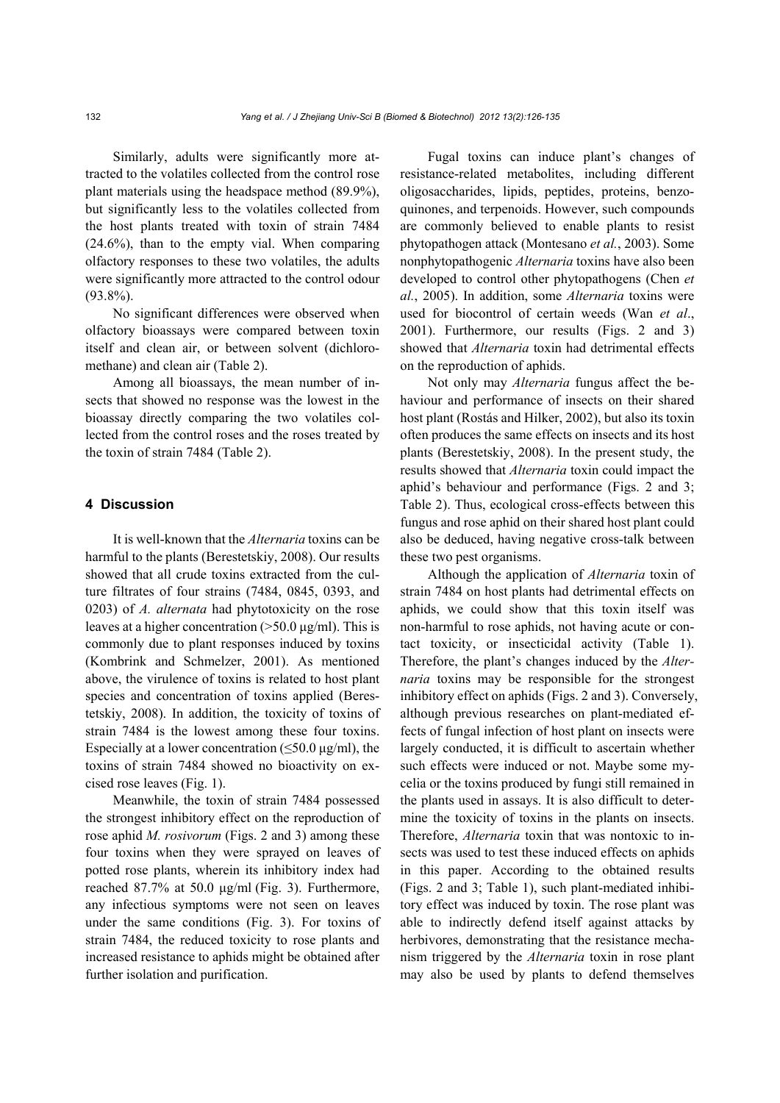Similarly, adults were significantly more attracted to the volatiles collected from the control rose plant materials using the headspace method (89.9%), but significantly less to the volatiles collected from the host plants treated with toxin of strain 7484 (24.6%), than to the empty vial. When comparing olfactory responses to these two volatiles, the adults were significantly more attracted to the control odour (93.8%).

No significant differences were observed when olfactory bioassays were compared between toxin itself and clean air, or between solvent (dichloromethane) and clean air (Table 2).

Among all bioassays, the mean number of insects that showed no response was the lowest in the bioassay directly comparing the two volatiles collected from the control roses and the roses treated by the toxin of strain 7484 (Table 2).

## **4 Discussion**

It is well-known that the *Alternaria* toxins can be harmful to the plants (Berestetskiy, 2008). Our results showed that all crude toxins extracted from the culture filtrates of four strains (7484, 0845, 0393, and 0203) of *A. alternata* had phytotoxicity on the rose leaves at a higher concentration  $(>50.0 \,\mu g/ml)$ . This is commonly due to plant responses induced by toxins (Kombrink and Schmelzer, 2001). As mentioned above, the virulence of toxins is related to host plant species and concentration of toxins applied (Berestetskiy, 2008). In addition, the toxicity of toxins of strain 7484 is the lowest among these four toxins. Especially at a lower concentration ( $\leq 50.0 \text{ µg/ml}$ ), the toxins of strain 7484 showed no bioactivity on excised rose leaves (Fig. 1).

Meanwhile, the toxin of strain 7484 possessed the strongest inhibitory effect on the reproduction of rose aphid *M. rosivorum* (Figs. 2 and 3) among these four toxins when they were sprayed on leaves of potted rose plants, wherein its inhibitory index had reached 87.7% at 50.0 μg/ml (Fig. 3). Furthermore, any infectious symptoms were not seen on leaves under the same conditions (Fig. 3). For toxins of strain 7484, the reduced toxicity to rose plants and increased resistance to aphids might be obtained after further isolation and purification.

Fugal toxins can induce plant's changes of resistance-related metabolites, including different oligosaccharides, lipids, peptides, proteins, benzoquinones, and terpenoids. However, such compounds are commonly believed to enable plants to resist phytopathogen attack (Montesano *et al.*, 2003). Some nonphytopathogenic *Alternaria* toxins have also been developed to control other phytopathogens (Chen *et al.*, 2005). In addition, some *Alternaria* toxins were used for biocontrol of certain weeds (Wan *et al*., 2001). Furthermore, our results (Figs. 2 and 3) showed that *Alternaria* toxin had detrimental effects on the reproduction of aphids.

Not only may *Alternaria* fungus affect the behaviour and performance of insects on their shared host plant (Rostás and Hilker, 2002), but also its toxin often produces the same effects on insects and its host plants (Berestetskiy, 2008). In the present study, the results showed that *Alternaria* toxin could impact the aphid's behaviour and performance (Figs. 2 and 3; Table 2). Thus, ecological cross-effects between this fungus and rose aphid on their shared host plant could also be deduced, having negative cross-talk between these two pest organisms.

Although the application of *Alternaria* toxin of strain 7484 on host plants had detrimental effects on aphids, we could show that this toxin itself was non-harmful to rose aphids, not having acute or contact toxicity, or insecticidal activity (Table 1). Therefore, the plant's changes induced by the *Alternaria* toxins may be responsible for the strongest inhibitory effect on aphids (Figs. 2 and 3). Conversely, although previous researches on plant-mediated effects of fungal infection of host plant on insects were largely conducted, it is difficult to ascertain whether such effects were induced or not. Maybe some mycelia or the toxins produced by fungi still remained in the plants used in assays. It is also difficult to determine the toxicity of toxins in the plants on insects. Therefore, *Alternaria* toxin that was nontoxic to insects was used to test these induced effects on aphids in this paper. According to the obtained results (Figs. 2 and 3; Table 1), such plant-mediated inhibitory effect was induced by toxin. The rose plant was able to indirectly defend itself against attacks by herbivores, demonstrating that the resistance mechanism triggered by the *Alternaria* toxin in rose plant may also be used by plants to defend themselves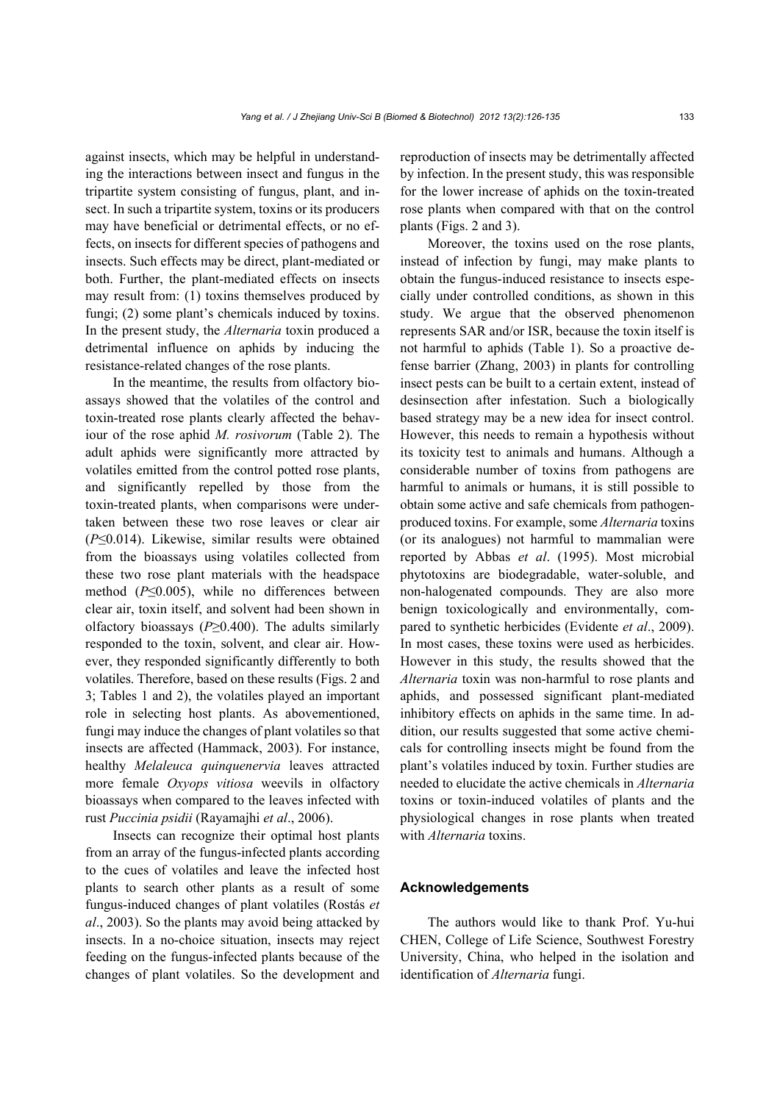against insects, which may be helpful in understanding the interactions between insect and fungus in the tripartite system consisting of fungus, plant, and insect. In such a tripartite system, toxins or its producers may have beneficial or detrimental effects, or no effects, on insects for different species of pathogens and insects. Such effects may be direct, plant-mediated or both. Further, the plant-mediated effects on insects may result from: (1) toxins themselves produced by fungi; (2) some plant's chemicals induced by toxins. In the present study, the *Alternaria* toxin produced a detrimental influence on aphids by inducing the resistance-related changes of the rose plants.

In the meantime, the results from olfactory bioassays showed that the volatiles of the control and toxin-treated rose plants clearly affected the behaviour of the rose aphid *M. rosivorum* (Table 2). The adult aphids were significantly more attracted by volatiles emitted from the control potted rose plants, and significantly repelled by those from the toxin-treated plants, when comparisons were undertaken between these two rose leaves or clear air (*P*≤0.014). Likewise, similar results were obtained from the bioassays using volatiles collected from these two rose plant materials with the headspace method (*P*≤0.005), while no differences between clear air, toxin itself, and solvent had been shown in olfactory bioassays (*P*≥0.400). The adults similarly responded to the toxin, solvent, and clear air. However, they responded significantly differently to both volatiles. Therefore, based on these results (Figs. 2 and 3; Tables 1 and 2), the volatiles played an important role in selecting host plants. As abovementioned, fungi may induce the changes of plant volatiles so that insects are affected (Hammack, 2003). For instance, healthy *Melaleuca quinquenervia* leaves attracted more female *Oxyops vitiosa* weevils in olfactory bioassays when compared to the leaves infected with rust *Puccinia psidii* (Rayamajhi *et al*., 2006).

Insects can recognize their optimal host plants from an array of the fungus-infected plants according to the cues of volatiles and leave the infected host plants to search other plants as a result of some fungus-induced changes of plant volatiles (Rostás *et al*., 2003). So the plants may avoid being attacked by insects. In a no-choice situation, insects may reject feeding on the fungus-infected plants because of the changes of plant volatiles. So the development and reproduction of insects may be detrimentally affected by infection. In the present study, this was responsible for the lower increase of aphids on the toxin-treated rose plants when compared with that on the control plants (Figs. 2 and 3).

Moreover, the toxins used on the rose plants, instead of infection by fungi, may make plants to obtain the fungus-induced resistance to insects especially under controlled conditions, as shown in this study. We argue that the observed phenomenon represents SAR and/or ISR, because the toxin itself is not harmful to aphids (Table 1). So a proactive defense barrier (Zhang, 2003) in plants for controlling insect pests can be built to a certain extent, instead of desinsection after infestation. Such a biologically based strategy may be a new idea for insect control. However, this needs to remain a hypothesis without its toxicity test to animals and humans. Although a considerable number of toxins from pathogens are harmful to animals or humans, it is still possible to obtain some active and safe chemicals from pathogenproduced toxins. For example, some *Alternaria* toxins (or its analogues) not harmful to mammalian were reported by Abbas *et al*. (1995). Most microbial phytotoxins are biodegradable, water-soluble, and non-halogenated compounds. They are also more benign toxicologically and environmentally, compared to synthetic herbicides (Evidente *et al*., 2009). In most cases, these toxins were used as herbicides. However in this study, the results showed that the *Alternaria* toxin was non-harmful to rose plants and aphids, and possessed significant plant-mediated inhibitory effects on aphids in the same time. In addition, our results suggested that some active chemicals for controlling insects might be found from the plant's volatiles induced by toxin. Further studies are needed to elucidate the active chemicals in *Alternaria*  toxins or toxin-induced volatiles of plants and the physiological changes in rose plants when treated with *Alternaria* toxins.

## **Acknowledgements**

The authors would like to thank Prof. Yu-hui CHEN, College of Life Science, Southwest Forestry University, China, who helped in the isolation and identification of *Alternaria* fungi.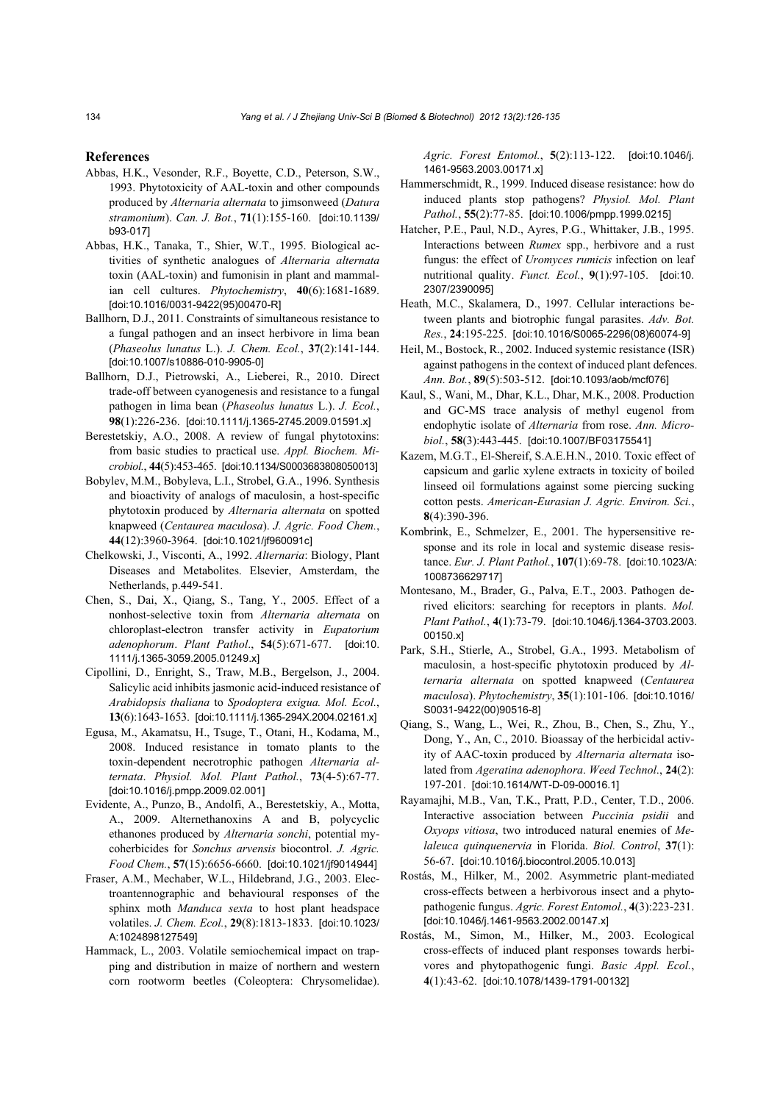#### **References**

- Abbas, H.K., Vesonder, R.F., Boyette, C.D., Peterson, S.W., 1993. Phytotoxicity of AAL-toxin and other compounds produced by *Alternaria alternata* to jimsonweed (*Datura stramonium*). *Can. J. Bot.*, **71**(1):155-160. [doi:10.1139/ b93-017]
- Abbas, H.K., Tanaka, T., Shier, W.T., 1995. Biological activities of synthetic analogues of *Alternaria alternata* toxin (AAL-toxin) and fumonisin in plant and mammalian cell cultures. *Phytochemistry*, **40**(6):1681-1689. [doi:10.1016/0031-9422(95)00470-R]
- Ballhorn, D.J., 2011. Constraints of simultaneous resistance to a fungal pathogen and an insect herbivore in lima bean (*Phaseolus lunatus* L.). *J. Chem. Ecol.*, **37**(2):141-144. [doi:10.1007/s10886-010-9905-0]
- Ballhorn, D.J., Pietrowski, A., Lieberei, R., 2010. Direct trade-off between cyanogenesis and resistance to a fungal pathogen in lima bean (*Phaseolus lunatus* L.). *J. Ecol.*, **98**(1):226-236. [doi:10.1111/j.1365-2745.2009.01591.x]
- Berestetskiy, A.O., 2008. A review of fungal phytotoxins: from basic studies to practical use. *Appl. Biochem. Microbiol.*, **44**(5):453-465. [doi:10.1134/S0003683808050013]
- Bobylev, M.M., Bobyleva, L.I., Strobel, G.A., 1996. Synthesis and bioactivity of analogs of maculosin, a host-specific phytotoxin produced by *Alternaria alternata* on spotted knapweed (*Centaurea maculosa*). *J. Agric. Food Chem.*, **44**(12):3960-3964. [doi:10.1021/jf960091c]
- Chelkowski, J., Visconti, A., 1992. *Alternaria*: Biology, Plant Diseases and Metabolites. Elsevier, Amsterdam, the Netherlands, p.449-541.
- Chen, S., Dai, X., Qiang, S., Tang, Y., 2005. Effect of a nonhost-selective toxin from *Alternaria alternata* on chloroplast-electron transfer activity in *Eupatorium adenophorum*. *Plant Pathol*., **54**(5):671-677. [doi:10. 1111/j.1365-3059.2005.01249.x]
- Cipollini, D., Enright, S., Traw, M.B., Bergelson, J., 2004. Salicylic acid inhibits jasmonic acid-induced resistance of *Arabidopsis thaliana* to *Spodoptera exigua. Mol. Ecol.*, **13**(6):1643-1653. [doi:10.1111/j.1365-294X.2004.02161.x]
- Egusa, M., Akamatsu, H., Tsuge, T., Otani, H., Kodama, M., 2008. Induced resistance in tomato plants to the toxin-dependent necrotrophic pathogen *Alternaria alternata*. *Physiol. Mol. Plant Pathol.*, **73**(4-5):67-77. [doi:10.1016/j.pmpp.2009.02.001]
- Evidente, A., Punzo, B., Andolfi, A., Berestetskiy, A., Motta, A., 2009. Alternethanoxins A and B, polycyclic ethanones produced by *Alternaria sonchi*, potential mycoherbicides for *Sonchus arvensis* biocontrol. *J. Agric. Food Chem.*, **57**(15):6656-6660. [doi:10.1021/jf9014944]
- Fraser, A.M., Mechaber, W.L., Hildebrand, J.G., 2003. Electroantennographic and behavioural responses of the sphinx moth *Manduca sexta* to host plant headspace volatiles. *J. Chem. Ecol.*, **29**(8):1813-1833. [doi:10.1023/ A:1024898127549]
- Hammack, L., 2003. Volatile semiochemical impact on trapping and distribution in maize of northern and western corn rootworm beetles (Coleoptera: Chrysomelidae).

*Agric. Forest Entomol.*, **5**(2):113-122. [doi:10.1046/j. 1461-9563.2003.00171.x]

- Hammerschmidt, R., 1999. Induced disease resistance: how do induced plants stop pathogens? *Physiol. Mol. Plant Pathol.*, **55**(2):77-85. [doi:10.1006/pmpp.1999.0215]
- Hatcher, P.E., Paul, N.D., Ayres, P.G., Whittaker, J.B., 1995. Interactions between *Rumex* spp., herbivore and a rust fungus: the effect of *Uromyces rumicis* infection on leaf nutritional quality. *Funct. Ecol.*, **9**(1):97-105. [doi:10. 2307/2390095]
- Heath, M.C., Skalamera, D., 1997. Cellular interactions between plants and biotrophic fungal parasites. *Adv. Bot. Res.*, **24**:195-225. [doi:10.1016/S0065-2296(08)60074-9]
- Heil, M., Bostock, R., 2002. Induced systemic resistance (ISR) against pathogens in the context of induced plant defences. *Ann. Bot.*, **89**(5):503-512. [doi:10.1093/aob/mcf076]
- Kaul, S., Wani, M., Dhar, K.L., Dhar, M.K., 2008. Production and GC-MS trace analysis of methyl eugenol from endophytic isolate of *Alternaria* from rose. *Ann. Microbiol.*, **58**(3):443-445. [doi:10.1007/BF03175541]
- Kazem, M.G.T., El-Shereif, S.A.E.H.N., 2010. Toxic effect of capsicum and garlic xylene extracts in toxicity of boiled linseed oil formulations against some piercing sucking cotton pests. *American-Eurasian J. Agric. Environ. Sci.*, **8**(4):390-396.
- Kombrink, E., Schmelzer, E., 2001. The hypersensitive response and its role in local and systemic disease resistance. *Eur. J. Plant Pathol.*, **107**(1):69-78. [doi:10.1023/A: 1008736629717]
- Montesano, M., Brader, G., Palva, E.T., 2003. Pathogen derived elicitors: searching for receptors in plants. *Mol. Plant Pathol.*, **4**(1):73-79. [doi:10.1046/j.1364-3703.2003. 00150.x]
- Park, S.H., Stierle, A., Strobel, G.A., 1993. Metabolism of maculosin, a host-specific phytotoxin produced by *Alternaria alternata* on spotted knapweed (*Centaurea maculosa*). *Phytochemistry*, **35**(1):101-106. [doi:10.1016/ S0031-9422(00)90516-8]
- Qiang, S., Wang, L., Wei, R., Zhou, B., Chen, S., Zhu, Y., Dong, Y., An, C., 2010. Bioassay of the herbicidal activity of AAC-toxin produced by *Alternaria alternata* isolated from *Ageratina adenophora*. *Weed Technol*., **24**(2): 197-201. [doi:10.1614/WT-D-09-00016.1]
- Rayamajhi, M.B., Van, T.K., Pratt, P.D., Center, T.D., 2006. Interactive association between *Puccinia psidii* and *Oxyops vitiosa*, two introduced natural enemies of *Melaleuca quinquenervia* in Florida. *Biol. Control*, **37**(1): 56-67. [doi:10.1016/j.biocontrol.2005.10.013]
- Rostás, M., Hilker, M., 2002. Asymmetric plant-mediated cross-effects between a herbivorous insect and a phytopathogenic fungus. *Agric. Forest Entomol.*, **4**(3):223-231. [doi:10.1046/j.1461-9563.2002.00147.x]
- Rostás, M., Simon, M., Hilker, M., 2003. Ecological cross-effects of induced plant responses towards herbivores and phytopathogenic fungi. *Basic Appl. Ecol.*, **4**(1):43-62. [doi:10.1078/1439-1791-00132]